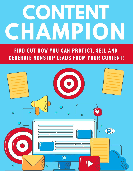# CONTENT CHAMPION

#### FIND OUT HOW YOU CAN PROTECT, SELL AND **GENERATE NONSTOP LEADS FROM YOUR CONTENT!**

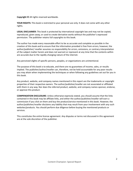**Copyright ©** All rights reserved worldwide.

**YOUR RIGHTS:** This book is restricted to your personal use only. It does not come with any other rights.

**LEGAL DISCLAIMER:** This book is protected by international copyright law and may not be copied, reproduced, given away, or used to create derivative works without the publisher's expressed permission. The publisher retains full copyrights to this book.

The author has made every reasonable effort to be as accurate and complete as possible in the creation of this book and to ensure that the information provided is free from errors; however, the author/publisher/ reseller assumes no responsibility for errors, omissions, or contrary interpretation of the subject matter herein and does not warrant or represent at any time that the contents within are accurate due to the rapidly changing nature of the internet.

Any perceived slights of specific persons, peoples, or organizations are unintentional.

The purpose of this book is to educate, and there are no guarantees of income, sales, or results implied. The publisher/author/reseller can, therefore, not be held accountable for any poor results you may attain when implementing the techniques or when following any guidelines set out for you in this book.

Any product, website, and company names mentioned in this report are the trademarks or copyright properties of their respective owners. The author/publisher/reseller are not associated or affiliated with them in any way. Nor does the referred product, website, and company names sponsor, endorse, or approve this product.

**COMPENSATION DISCLOSURE:** Unless otherwise expressly stated, you should assume that the links contained in this book may be affiliate links, and either the author/publisher/reseller will earn a commission if you click on them and buy the product/service mentioned in this book. However, the author/publisher/reseller disclaims any liability that may result from your involvement with any such websites/products. You should perform due diligence before buying the mentioned products or services.

This constitutes the entire license agreement. Any disputes or terms not discussed in this agreement are at the sole discretion of the publisher.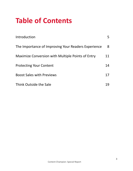## **Table of Contents**

| Introduction                                        | 5. |
|-----------------------------------------------------|----|
| The Importance of Improving Your Readers Experience | 8  |
| Maximize Conversion with Multiple Points of Entry   | 11 |
| <b>Protecting Your Content</b>                      | 14 |
| <b>Boost Sales with Previews</b>                    | 17 |
| Think Outside the Sale                              | 19 |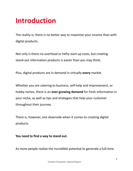### <span id="page-4-0"></span>**Introduction**

The reality is; there is no better way to maximize your income than with digital products.

Not only is there no overhead or hefty start-up costs, but creating stand-out information products is easier than you may think.

Plus, digital products are in demand in virtually **every** market.

Whether you are catering to business, self-help and improvement, or hobby niches, there is an **ever-growing demand** for fresh information in your niche, as well as tips and strategies that help your customer throughout their journey.

There is, however, one downside when it comes to creating digital products.

#### **You need to find a way to stand out.**

As more people realize the incredible potential to generate a full-time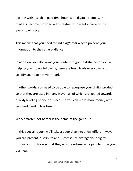income with less than part-time hours with digital products, the markets become crowded with creators who want a piece of the ever-growing pie.

This means that you need to find a *different* way to present your information to the same audience.

In addition, you also want your content to go the distance for you in helping you grow a following, generate fresh leads every day, and solidify your place in your market.

In other words, you need to be able to repurpose your digital products so that they are used in many ways—all of which are geared towards quickly leveling up your business, so you can make more money with less work (and in less time).

Work smarter, not harder is the name of the game.  $\odot$ 

In this special report, we'll take a deep-dive into a few different ways you can present, distribute and successfully leverage your digital products in such a way that they work overtime in helping to grow your business.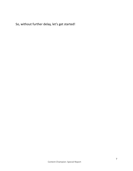So, without further delay, let's get started!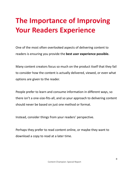## <span id="page-7-0"></span>**The Importance of Improving Your Readers Experience**

One of the most often overlooked aspects of delivering content to readers is ensuring you provide the **best user experience possible.**

Many content creators focus so much on the product itself that they fail to consider how the content is actually delivered, viewed, or even what options are given to the reader.

People prefer to learn and consume information in different ways, so there isn't a one-size-fits-all, and so your approach to delivering content should never be based on just one method or format.

Instead, consider things from your readers' perspective.

Perhaps they prefer to read content online, or maybe they want to download a copy to read at a later time.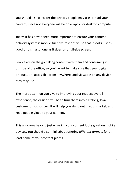You should also consider the devices people may use to read your content, since not everyone will be on a laptop or desktop computer.

Today, it has never been more important to ensure your content delivery system is mobile-friendly; responsive, so that it looks just as good on a smartphone as it does on a full-size screen.

People are on the go, taking content with them and consuming it outside of the office, so you'll want to make sure that your digital products are accessible from anywhere, and viewable on any device they may use.

The more attention you give to improving your readers overall experience, the easier it will be to turn them into a lifelong, loyal customer or subscriber. It will help you stand out in your market, and keep people glued to your content.

This also goes beyond just ensuring your content looks great on mobile devices. You should also think about offering *different formats* for at least some of your content pieces.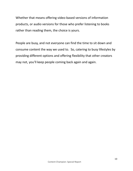Whether that means offering video-based versions of information products, or audio versions for those who prefer listening to books rather than reading them, the choice is yours.

People are busy, and not everyone can find the time to sit down and consume content the way we used to. So, catering to busy lifestyles by providing different options and offering flexibility that other creators may not, you'll keep people coming back again and again.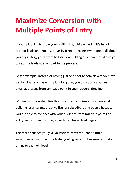## <span id="page-10-0"></span>**Maximize Conversion with Multiple Points of Entry**

If you're looking to grow your mailing list, while ensuring it's full of red-hot leads and not just drive-by freebie seekers (who forget all about you days later), you'll want to focus on building a system that allows you to capture leads at **any point in the process.**

So for example, instead of having just one shot to convert a reader into a subscriber, such as on the landing page, you can capture names and email addresses from any page point in your readers' timeline.

Working with a system like this instantly maximizes your chances at building laser-targeted, active lists of subscribers and buyers because you are able to connect with your audience from **multiple points of entry**, rather than just one, as with traditional lead pages.

The more chances you give yourself to convert a reader into a subscriber or customer, the faster you'll grow your business and take things to the next level.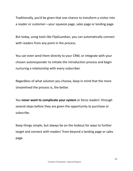Traditionally, you'd be given that one chance to transform a visitor into a reader or customer—your squeeze page, sales page or landing page.

But today, using tools like FlipGuardian, you can automatically connect with readers from any point in the process.

You can even send them directly to your CRM, or integrate with your chosen autoresponder to initiate the introduction process and begin nurturing a relationship with every subscriber.

Regardless of what solution you choose, keep in mind that the more streamlined the process is, the better.

You **never want to complicate your system** or force readers' through several steps before they are given the opportunity to purchase or subscribe.

Keep things simple, but always be on the lookout for ways to further target and connect with readers' from beyond a landing page or sales page.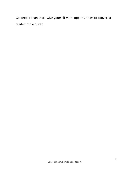Go deeper than that. Give yourself more opportunities to convert a reader into a buyer.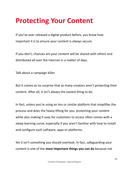### <span id="page-13-0"></span>**Protecting Your Content**

If you've ever released a digital product before, you know how important it is to ensure your content is always secure.

If you don't, chances are your content will be shared with others and distributed all over the Internet in a matter of days.

Talk about a campaign killer.

But it comes as no surprise that so many creators aren't protecting their content. After all, it isn't always the easiest thing to do.

In fact, unless you're using an lms or similar platform that simplifies the process and does the heavy-lifting for you, protecting your content while also making it easy for customers to access often comes with a steep learning curve, especially if you aren't familiar with how to install and configure such software, apps or platforms.

Yet it isn't something you should overlook. In fact, safeguarding your content is one of the **most important things you can do** because not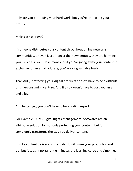only are you protecting your hard work, but you're protecting your profits.

Makes sense, right?

If someone distributes your content throughout online networks, communities, or even just amongst their own groups, they are harming your business. You'll lose money, or if you're giving away your content in exchange for an email address, you're losing valuable leads.

Thankfully, protecting your digital products doesn't have to be a difficult or time-consuming venture. And it also doesn't have to cost you an arm and a leg.

And better yet, you don't have to be a coding expert.

For example, DRM (Digital Rights Management) Softwares are an all-in-one solution for not only protecting your content, but it completely transforms the way you deliver content.

It's like content delivery on steroids. It will make your products stand out but just as important, it eliminates the learning curve and simplifies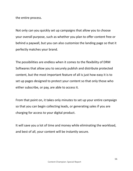the entire process.

Not only can you quickly set up campaigns that allow you to choose your overall purpose, such as whether you plan to offer content free or behind a paywall, but you can also customize the landing page so that it perfectly matches your brand.

The possibilities are endless when it comes to the flexibility of DRM Softwares that allow you to securely publish and distribute protected content, but the most important feature of all is just how easy it is to set up pages designed to protect your content so that only those who either subscribe, or pay, are able to access it.

From that point on, it takes only minutes to set up your entire campaign so that you can begin collecting leads, or generating sales if you are charging for access to your digital product.

It will save you a lot of time and money while eliminating the workload, and best of all, your content will be instantly secure.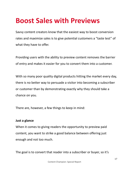#### **Boost Sales with Previews**

Savvy content creators know that the easiest way to boost conversion rates and maximize sales is to give potential customers a "taste test" of what they have to offer.

Providing users with the ability to preview content removes the barrier of entry and makes it easier for you to convert them into a customer.

With so many poor quality digital products hitting the market every day, there is no better way to persuade a visitor into becoming a subscriber or customer than by demonstrating exactly why they should take a chance on you.

There are, however, a few things to keep in mind:

#### **Just a glance**

When it comes to giving readers the opportunity to preview paid content, you want to strike a good balance between offering just enough and not too much.

The goal is to convert that reader into a subscriber or buyer, so it's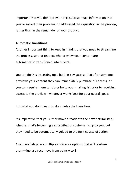important that you don't provide access to so much information that you've solved their problem, or addressed their question in the preview, rather than in the remainder of your product.

#### **Automatic Transitions**

Another important thing to keep in mind is that you need to streamline the process, so that readers who preview your content are automatically transitioned into buyers.

You can do this by setting up a built-in pay gate so that after someone previews your content they can immediately purchase full access, or you can require them to subscribe to your mailing list prior to receiving access to the preview—whatever works best for your overall goals.

But what you don't want to do is delay the transition.

It's imperative that you either move a reader to the next natural step; whether that's becoming a subscriber or customer is up to you, but they need to be automatically guided to the next course of action.

Again, no delays; no multiple choices or options that will confuse them—just a direct move from point A to B.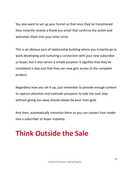You also want to set up your funnel so that once they've transitioned they instantly receive a thank you email that confirms the action and welcomes them into your inner circle.

This is an obvious part of relationship building where you instantly go to work developing and nurturing a connection with your new subscriber or buyer, but it also serves a simple purpose: it signifies that they've completed a step and that they can now gain access to the complete product.

Regardless how you set it up, just remember to provide enough content to capture attention and motivate prospects to take the next step without giving too away should always be your main goal.

And then, automatically transition them so you can convert that reader into a subscriber or buyer instantly.

## **Think Outside the Sale**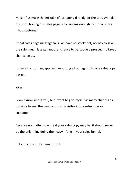Most of us make the mistake of just going directly for the sale. We take our shot, hoping our sales page is convincing enough to turn a visitor into a customer.

If that sales page message fails, we have no safety net; no way to save the sale, much less get another chance to persuade a prospect to take a chance on us.

It's an all or nothing approach—putting all our eggs into one sales copy basket.

*Yikes.*

I don't know about you, but I want to give myself as many chances as possible to seal the deal, and turn a visitor into a subscriber or customer.

Because no matter how great your sales copy may be, it should never be the only thing doing the heavy-lifting in your sales funnel.

If it currently is, it's time to fix it.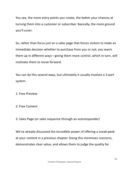You see, the more entry points you create, the better your chances at turning them into a customer or subscriber. Basically, the more ground you'll cover.

So, rather than focus just on a sales page that forces visitors to make an immediate decision whether to purchase from you or not, you warm them up in different ways—giving them more control, which in turn, will motivate them to move forward.

You can do this several ways, but ultimately it usually involves a 3-part system.

1: Free Preview

2: Free Content

3: Sales Page (or sales sequence through an autoresponder)

We've already discussed the incredible power of offering a sneak-peek at your content in a previous chapter. Doing this minimizes concerns, demonstrates clear value, and allows them to judge the quality for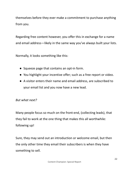themselves before they ever make a commitment to purchase anything from you.

Regarding free content however, you offer this in exchange for a name and email address—likely in the same way you've always built your lists.

Normally, it looks something like this:

- Squeeze page that contains an opt-in form.
- You highlight your incentive offer; such as a free report or video.
- A visitor enters their name and email address, are subscribed to your email list and you now have a new lead.

#### *But what next?*

Many people focus so much on the front-end, (collecting leads), that they fail to work at the one thing that makes this all worthwhile: following up!

Sure, they may send out an introduction or welcome email, but then the only other time they email their subscribers is when they have something to sell.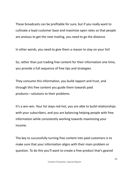These broadcasts can be profitable for sure, but if you really want to cultivate a loyal customer base and maximize open rates so that people are anxious to get the next mailing, you need to go the distance.

In other words, you need to give them a reason to stay on your list!

So, rather than just trading free content for their information one time, you provide a full sequence of free tips and strategies.

They consume this information, you build rapport and trust, and through this free content you guide them towards paid products—solutions to their problems.

It's a win-win. Your list stays red-hot, you are able to build relationships with your subscribers, and you are balancing helping people with free information while consistently working towards maximizing your income.

The key to successfully turning free content into paid customers is to make sure that your information aligns with their main problem or question. To do this you'll want to create a free product that's geared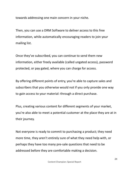towards addressing one main concern in your niche.

Then, you can use a DRM Software to deliver access to this free information, while automatically encouraging readers to join your mailing list.

Once they've subscribed, you can continue to send them new information, either freely available (called ungated access), password protected, or pay gated, where you can charge for access.

By offering different points of entry, you're able to capture sales and subscribers that you otherwise would not if you only provide one way to gain access to your material: through a direct purchase.

Plus, creating various content for different segments of your market, you're also able to meet a potential customer at the place they are at in their journey.

Not everyone is ready to commit to purchasing a product; they need more time, they aren't entirely sure of what they need help with, or perhaps they have too many pre-sale questions that need to be addressed before they are comfortable making a decision.